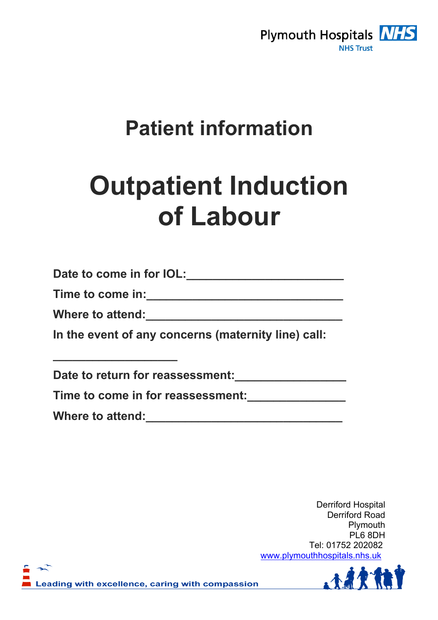

# **Patient information**

# **Outpatient Induction of Labour**

**Date to come in for IOL:\_\_\_\_\_\_\_\_\_\_\_\_\_\_\_\_\_\_\_\_\_\_\_\_** 

**Time to come in:\_\_\_\_\_\_\_\_\_\_\_\_\_\_\_\_\_\_\_\_\_\_\_\_\_\_\_\_\_\_** 

**Where to attend:\_\_\_\_\_\_\_\_\_\_\_\_\_\_\_\_\_\_\_\_\_\_\_\_\_\_\_\_\_\_** 

**\_\_\_\_\_\_\_\_\_\_\_\_\_\_\_\_\_\_\_** 

**In the event of any concerns (maternity line) call:** 

Date to return for reassessment:

**Time to come in for reassessment:\_\_\_\_\_\_\_\_\_\_\_\_\_\_\_** 

**Where to attend:\_\_\_\_\_\_\_\_\_\_\_\_\_\_\_\_\_\_\_\_\_\_\_\_\_\_\_\_\_\_** 

Derriford Hospital Derriford Road Plymouth PL6 8DH Tel: 01752 202082 www.plymouthhospitals.nhs.uk

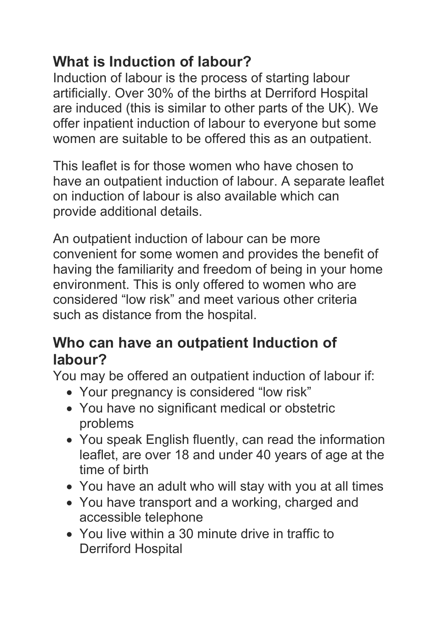### **What is Induction of labour?**

Induction of labour is the process of starting labour artificially. Over 30% of the births at Derriford Hospital are induced (this is similar to other parts of the UK). We offer inpatient induction of labour to everyone but some women are suitable to be offered this as an outpatient.

This leaflet is for those women who have chosen to have an outpatient induction of labour. A separate leaflet on induction of labour is also available which can provide additional details.

An outpatient induction of labour can be more convenient for some women and provides the benefit of having the familiarity and freedom of being in your home environment. This is only offered to women who are considered "low risk" and meet various other criteria such as distance from the hospital.

#### **Who can have an outpatient Induction of labour?**

You may be offered an outpatient induction of labour if:

- Your pregnancy is considered "low risk"
- You have no significant medical or obstetric problems
- You speak English fluently, can read the information leaflet, are over 18 and under 40 years of age at the time of birth
- You have an adult who will stay with you at all times
- You have transport and a working, charged and accessible telephone
- You live within a 30 minute drive in traffic to Derriford Hospital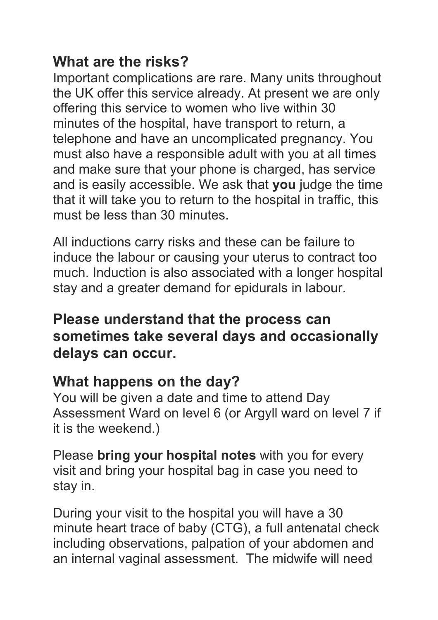#### **What are the risks?**

Important complications are rare. Many units throughout the UK offer this service already. At present we are only offering this service to women who live within 30 minutes of the hospital, have transport to return, a telephone and have an uncomplicated pregnancy. You must also have a responsible adult with you at all times and make sure that your phone is charged, has service and is easily accessible. We ask that **you** judge the time that it will take you to return to the hospital in traffic, this must be less than 30 minutes.

All inductions carry risks and these can be failure to induce the labour or causing your uterus to contract too much. Induction is also associated with a longer hospital stay and a greater demand for epidurals in labour.

#### **Please understand that the process can sometimes take several days and occasionally delays can occur.**

#### **What happens on the day?**

You will be given a date and time to attend Day Assessment Ward on level 6 (or Argyll ward on level 7 if it is the weekend.)

Please **bring your hospital notes** with you for every visit and bring your hospital bag in case you need to stay in.

During your visit to the hospital you will have a 30 minute heart trace of baby (CTG), a full antenatal check including observations, palpation of your abdomen and an internal vaginal assessment. The midwife will need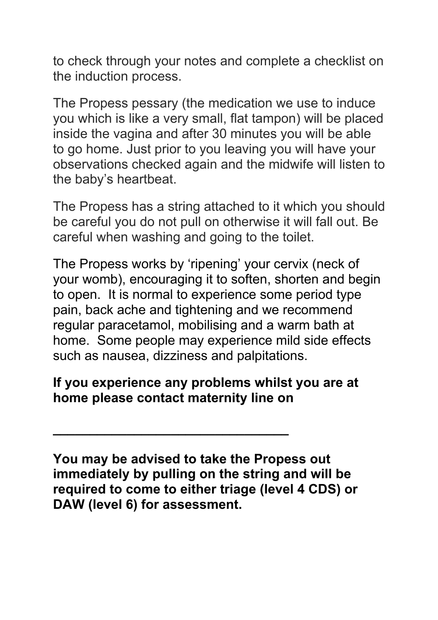to check through your notes and complete a checklist on the induction process.

The Propess pessary (the medication we use to induce you which is like a very small, flat tampon) will be placed inside the vagina and after 30 minutes you will be able to go home. Just prior to you leaving you will have your observations checked again and the midwife will listen to the baby's heartbeat.

The Propess has a string attached to it which you should be careful you do not pull on otherwise it will fall out. Be careful when washing and going to the toilet.

The Propess works by 'ripening' your cervix (neck of your womb), encouraging it to soften, shorten and begin to open. It is normal to experience some period type pain, back ache and tightening and we recommend regular paracetamol, mobilising and a warm bath at home. Some people may experience mild side effects such as nausea, dizziness and palpitations.

#### **If you experience any problems whilst you are at home please contact maternity line on**

**\_\_\_\_\_\_\_\_\_\_\_\_\_\_\_\_\_\_\_\_\_\_\_\_\_\_\_\_\_\_\_\_** 

**You may be advised to take the Propess out immediately by pulling on the string and will be required to come to either triage (level 4 CDS) or DAW (level 6) for assessment.**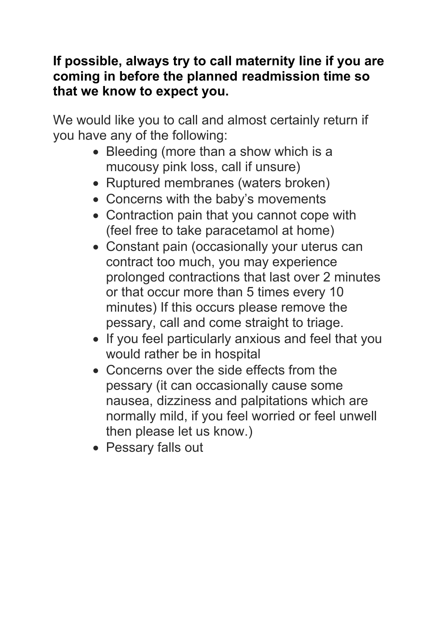#### **If possible, always try to call maternity line if you are coming in before the planned readmission time so that we know to expect you.**

We would like you to call and almost certainly return if you have any of the following:

- Bleeding (more than a show which is a mucousy pink loss, call if unsure)
- Ruptured membranes (waters broken)
- Concerns with the baby's movements
- Contraction pain that you cannot cope with (feel free to take paracetamol at home)
- Constant pain (occasionally your uterus can contract too much, you may experience prolonged contractions that last over 2 minutes or that occur more than 5 times every 10 minutes) If this occurs please remove the pessary, call and come straight to triage.
- If you feel particularly anxious and feel that you would rather be in hospital
- Concerns over the side effects from the pessary (it can occasionally cause some nausea, dizziness and palpitations which are normally mild, if you feel worried or feel unwell then please let us know.)
- Pessary falls out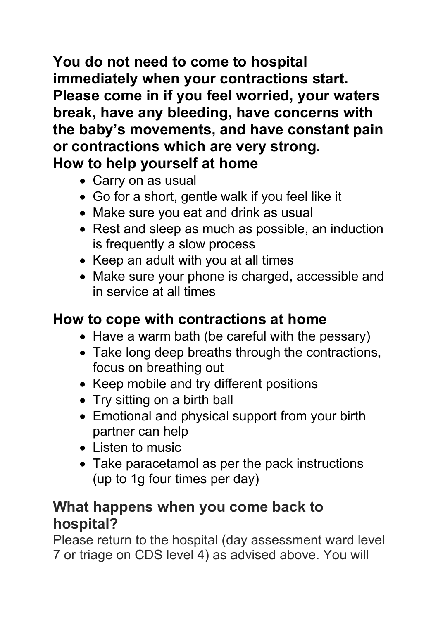**You do not need to come to hospital immediately when your contractions start. Please come in if you feel worried, your waters break, have any bleeding, have concerns with the baby's movements, and have constant pain or contractions which are very strong. How to help yourself at home** 

- Carry on as usual
- Go for a short, gentle walk if you feel like it
- Make sure you eat and drink as usual
- Rest and sleep as much as possible, an induction is frequently a slow process
- $\bullet$  Keep an adult with you at all times
- Make sure your phone is charged, accessible and in service at all times

#### **How to cope with contractions at home**

- Have a warm bath (be careful with the pessary)
- Take long deep breaths through the contractions, focus on breathing out
- Keep mobile and try different positions
- Try sitting on a birth ball
- Emotional and physical support from your birth partner can help
- Listen to music
- Take paracetamol as per the pack instructions (up to 1g four times per day)

#### **What happens when you come back to hospital?**

Please return to the hospital (day assessment ward level 7 or triage on CDS level 4) as advised above. You will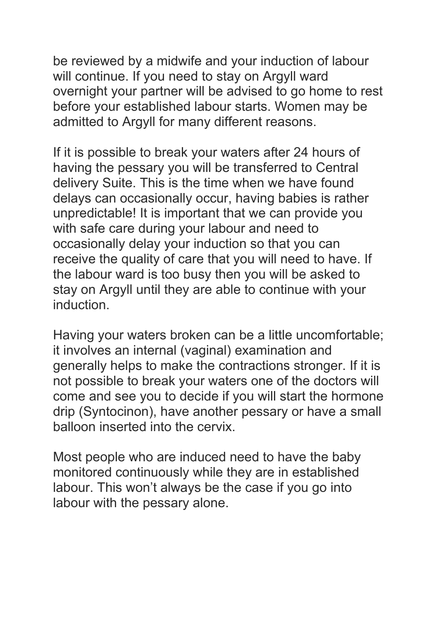be reviewed by a midwife and your induction of labour will continue. If you need to stay on Argyll ward overnight your partner will be advised to go home to rest before your established labour starts. Women may be admitted to Argyll for many different reasons.

If it is possible to break your waters after 24 hours of having the pessary you will be transferred to Central delivery Suite. This is the time when we have found delays can occasionally occur, having babies is rather unpredictable! It is important that we can provide you with safe care during your labour and need to occasionally delay your induction so that you can receive the quality of care that you will need to have. If the labour ward is too busy then you will be asked to stay on Argyll until they are able to continue with your **induction** 

Having your waters broken can be a little uncomfortable; it involves an internal (vaginal) examination and generally helps to make the contractions stronger. If it is not possible to break your waters one of the doctors will come and see you to decide if you will start the hormone drip (Syntocinon), have another pessary or have a small balloon inserted into the cervix.

Most people who are induced need to have the baby monitored continuously while they are in established labour. This won't always be the case if you go into labour with the pessary alone.